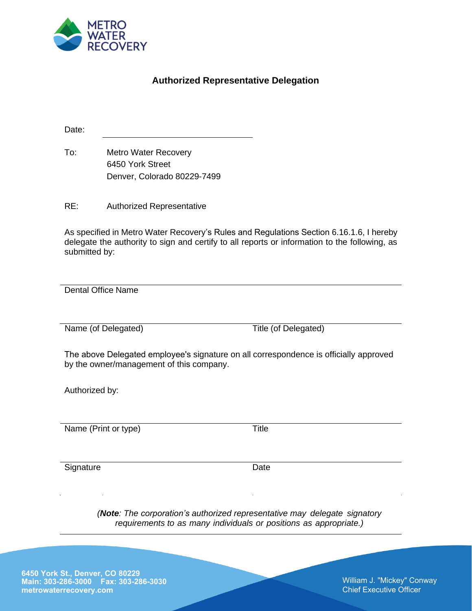

## **Authorized Representative Delegation**

Date:

To: Metro Water Recovery 6450 York Street Denver, Colorado 80229-7499

RE: Authorized Representative

As specified in Metro Water Recovery's Rules and Regulations Section 6.16.1.6, I hereby delegate the authority to sign and certify to all reports or information to the following, as submitted by:

Dental Office Name

Name (of Delegated) Title (of Delegated)

The above Delegated employee's signature on all correspondence is officially approved by the owner/management of this company.

Authorized by:

Name (Print or type) Title

Signature Date

*(Note: The corporation's authorized representative may delegate signatory requirements to as many individuals or positions as appropriate.)* 

**6450 York St., Denver, CO 80229 Main: 303-286-3000 Fax: 303-286-3030 metrowaterrecovery.com** 

William J. "Mickey" Conway Chief Executive Officer